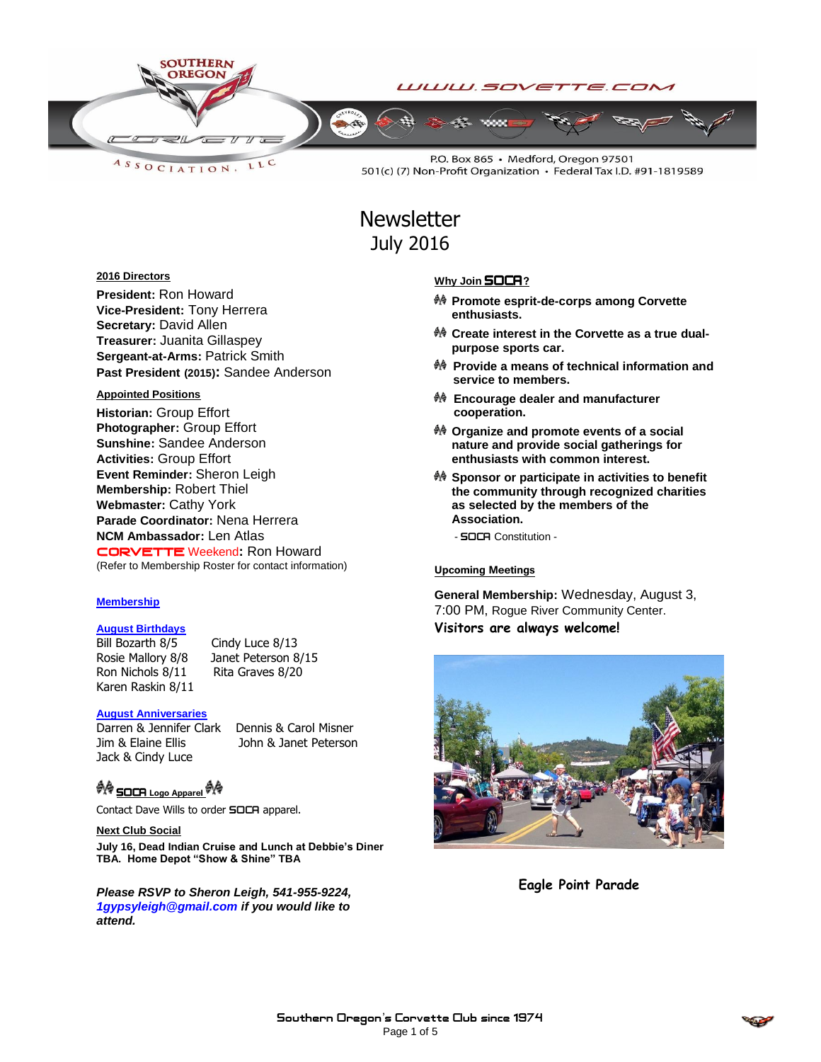

LLC  $A S S O C IAT I O N$ 

P.O. Box 865 · Medford, Oregon 97501 501(c) (7) Non-Profit Organization · Federal Tax I.D. #91-1819589

# **Newsletter** July 2016

# **2016 Directors**

**President:** Ron Howard **Vice-President:** Tony Herrera **Secretary:** David Allen **Treasurer:** Juanita Gillaspey **Sergeant-at-Arms:** Patrick Smith **Past President (2015):** Sandee Anderson

# **Appointed Positions**

**Historian:** Group Effort **Photographer:** Group Effort **Sunshine:** Sandee Anderson **Activities:** Group Effort **Event Reminder:** Sheron Leigh **Membership:** Robert Thiel **Webmaster:** Cathy York **Parade Coordinator:** Nena Herrera **NCM Ambassador:** Len Atlas CORVETTEWeekend**:** Ron Howard (Refer to Membership Roster for contact information)

# **Membership**

# **August Birthdays**

Bill Bozarth 8/5 Cindy Luce 8/13 Rosie Mallory 8/8 Janet Peterson 8/15 Ron Nichols 8/11 Rita Graves 8/20 Karen Raskin 8/11

### **August Anniversaries**

Darren & Jennifer Clark Dennis & Carol Misner Jim & Elaine Ellis John & Janet Peterson Jack & Cindy Luce

<sup>例像</sup> SOCR Logo Apparel <sup>例像</sup>

Contact Dave Wills to order **SOCA** apparel.

#### **Next Club Social**

**July 16, Dead Indian Cruise and Lunch at Debbie's Diner TBA. Home Depot "Show & Shine" TBA**

*Please RSVP to Sheron Leigh, 541-955-9224, 1gypsyleigh@gmail.com if you would like to attend.*

# **Why Join SOCA**?

- **Promote esprit-de-corps among Corvette enthusiasts.**
- **Create interest in the Corvette as a true dualpurpose sports car.**
- **Provide a means of technical information and service to members.**
- **Encourage dealer and manufacturer cooperation.**
- **Organize and promote events of a social nature and provide social gatherings for enthusiasts with common interest.**
- **Sponsor or participate in activities to benefit the community through recognized charities as selected by the members of the Association.**
	- **SOCA** Constitution -

#### Upcoming Meetings

**General Membership:** Wednesday, August 3, 7:00 PM, Rogue River Community Center. **Visitors are always welcome!**



**Eagle Point Parade**

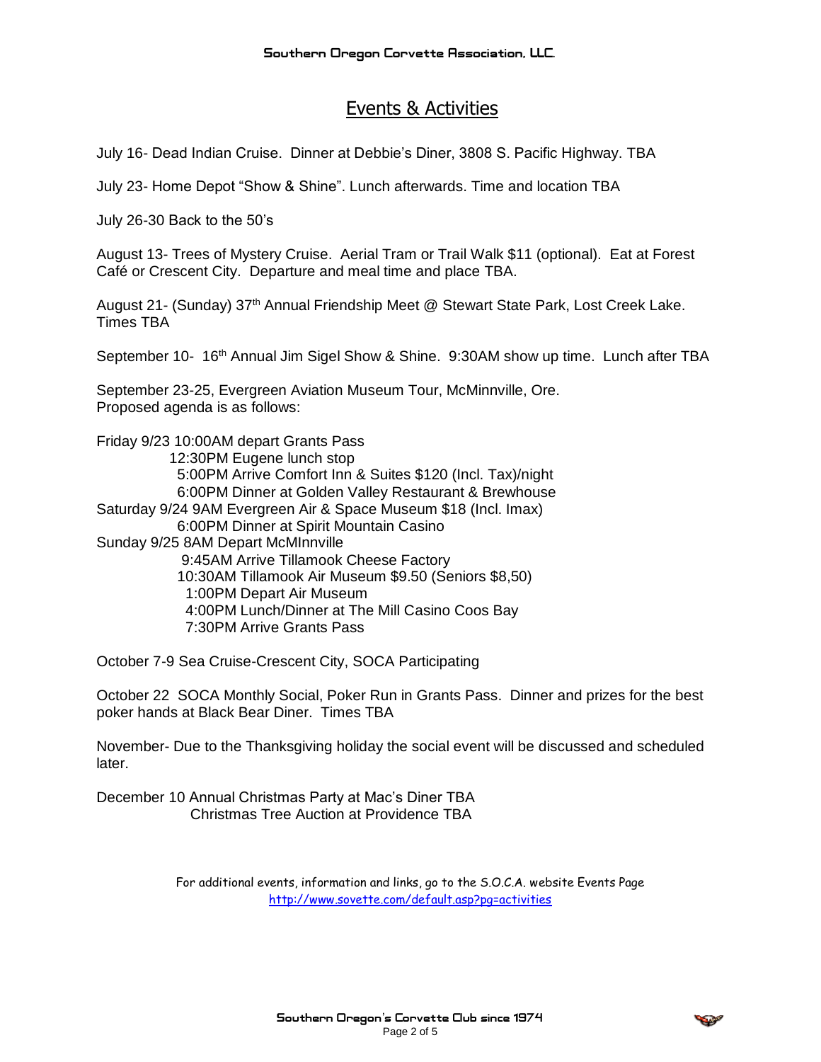# Events & Activities

July 16- Dead Indian Cruise. Dinner at Debbie's Diner, 3808 S. Pacific Highway. TBA

July 23- Home Depot "Show & Shine". Lunch afterwards. Time and location TBA

July 26-30 Back to the 50's

August 13- Trees of Mystery Cruise. Aerial Tram or Trail Walk \$11 (optional). Eat at Forest Café or Crescent City. Departure and meal time and place TBA.

August 21- (Sunday) 37th Annual Friendship Meet @ Stewart State Park, Lost Creek Lake. Times TBA

September 10- 16<sup>th</sup> Annual Jim Sigel Show & Shine. 9:30AM show up time. Lunch after TBA

September 23-25, Evergreen Aviation Museum Tour, McMinnville, Ore. Proposed agenda is as follows:

Friday 9/23 10:00AM depart Grants Pass 12:30PM Eugene lunch stop 5:00PM Arrive Comfort Inn & Suites \$120 (Incl. Tax)/night 6:00PM Dinner at Golden Valley Restaurant & Brewhouse Saturday 9/24 9AM Evergreen Air & Space Museum \$18 (Incl. Imax) 6:00PM Dinner at Spirit Mountain Casino Sunday 9/25 8AM Depart McMInnville 9:45AM Arrive Tillamook Cheese Factory 10:30AM Tillamook Air Museum \$9.50 (Seniors \$8,50) 1:00PM Depart Air Museum 4:00PM Lunch/Dinner at The Mill Casino Coos Bay 7:30PM Arrive Grants Pass

October 7-9 Sea Cruise-Crescent City, SOCA Participating

October 22 SOCA Monthly Social, Poker Run in Grants Pass. Dinner and prizes for the best poker hands at Black Bear Diner. Times TBA

November- Due to the Thanksgiving holiday the social event will be discussed and scheduled later.

December 10 Annual Christmas Party at Mac's Diner TBA Christmas Tree Auction at Providence TBA

> For additional events, information and links, go to the S.O.C.A. website Events Page <http://www.sovette.com/default.asp?pg=activities>

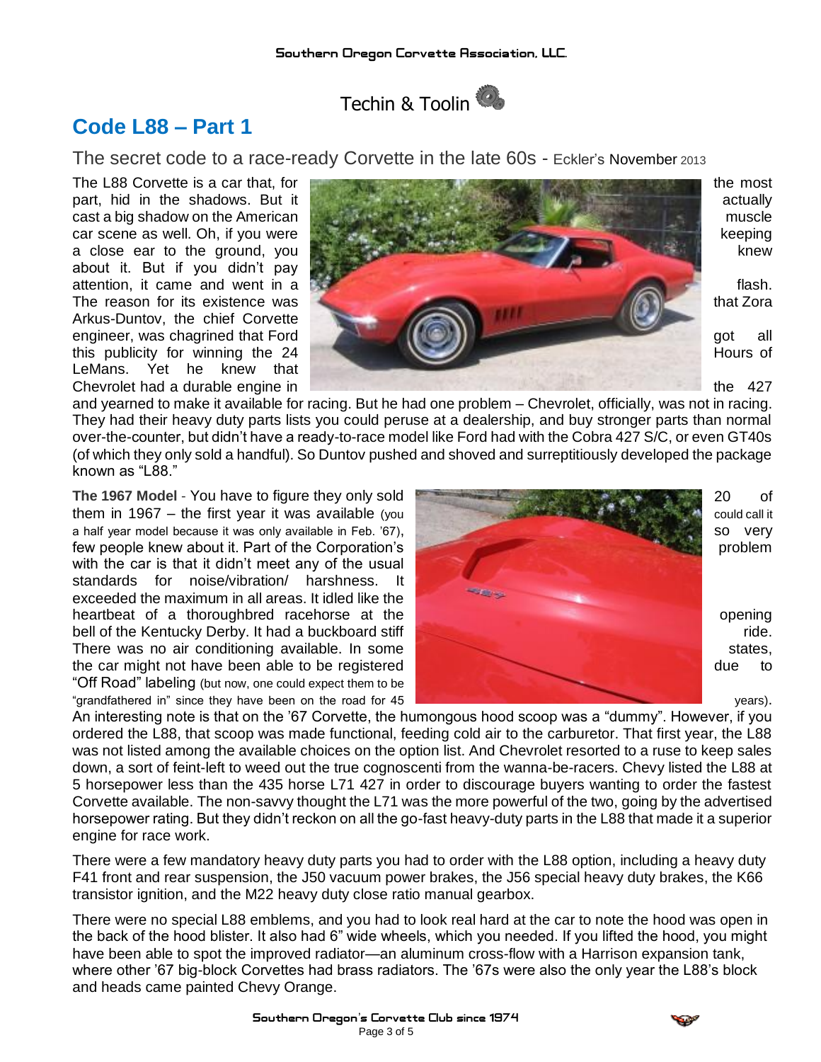

# **Code L88 – Part 1**

The secret code to a race-ready Corvette in the late 60s - Eckler's November <sup>2013</sup>

about it. But if you didn't pay Arkus-Duntov, the chief Corvette LeMans. Yet he knew that



and yearned to make it available for racing. But he had one problem – Chevrolet, officially, was not in racing. They had their heavy duty parts lists you could peruse at a dealership, and buy stronger parts than normal over-the-counter, but didn't have a ready-to-race model like Ford had with the Cobra 427 S/C, or even GT40s (of which they only sold a handful). So Duntov pushed and shoved and surreptitiously developed the package known as "L88."

with the car is that it didn't meet any of the usual standards for noise/vibration/ harshness. It exceeded the maximum in all areas. It idled like the "Off Road" labeling (but now, one could expect them to be



An interesting note is that on the '67 Corvette, the humongous hood scoop was a "dummy". However, if you ordered the L88, that scoop was made functional, feeding cold air to the carburetor. That first year, the L88 was not listed among the available choices on the option list. And Chevrolet resorted to a ruse to keep sales down, a sort of feint-left to weed out the true cognoscenti from the wanna-be-racers. Chevy listed the L88 at 5 horsepower less than the 435 horse L71 427 in order to discourage buyers wanting to order the fastest Corvette available. The non-savvy thought the L71 was the more powerful of the two, going by the advertised horsepower rating. But they didn't reckon on all the go-fast heavy-duty parts in the L88 that made it a superior engine for race work.

There were a few mandatory heavy duty parts you had to order with the L88 option, including a heavy duty F41 front and rear suspension, the J50 vacuum power brakes, the J56 special heavy duty brakes, the K66 transistor ignition, and the M22 heavy duty close ratio manual gearbox.

There were no special L88 emblems, and you had to look real hard at the car to note the hood was open in the back of the hood blister. It also had 6" wide wheels, which you needed. If you lifted the hood, you might have been able to spot the improved radiator—an aluminum cross-flow with a Harrison expansion tank, where other '67 big-block Corvettes had brass radiators. The '67s were also the only year the L88's block and heads came painted Chevy Orange.

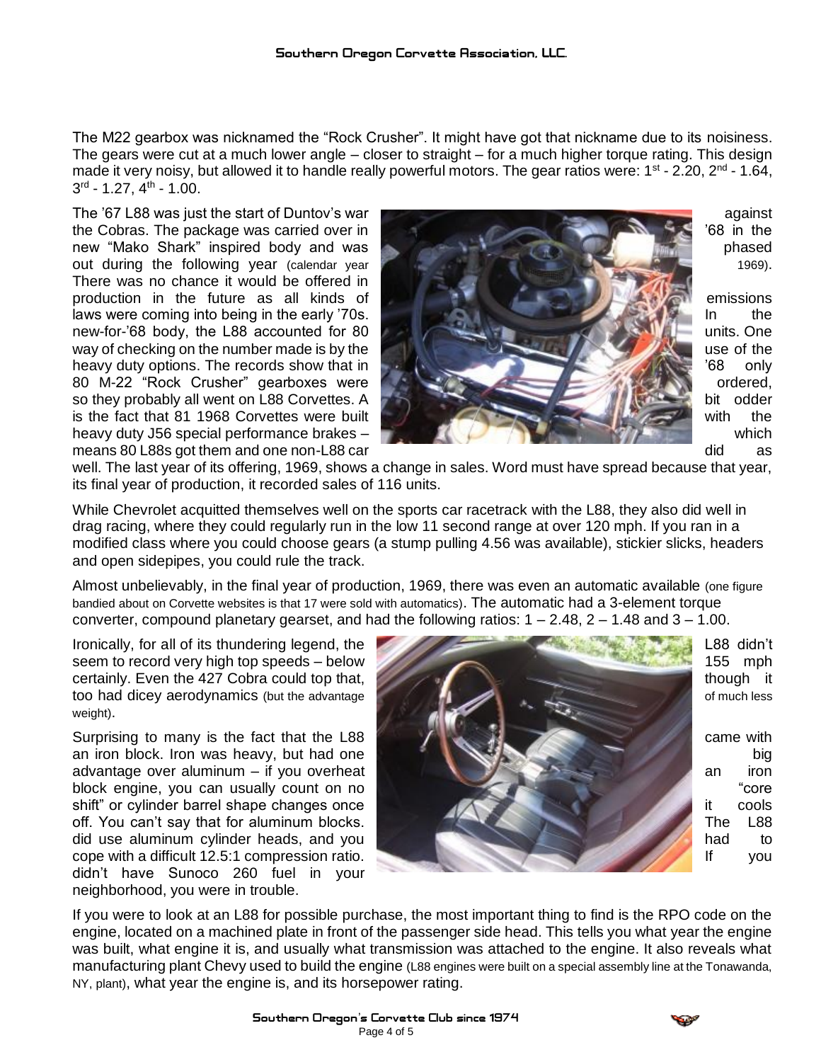The M22 gearbox was nicknamed the "Rock Crusher". It might have got that nickname due to its noisiness. The gears were cut at a much lower angle – closer to straight – for a much higher torque rating. This design made it very noisy, but allowed it to handle really powerful motors. The gear ratios were: 1<sup>st</sup> - 2.20, 2<sup>nd</sup> - 1.64,  $3^{\text{rd}}$  - 1.27, 4<sup>th</sup> - 1.00.

There was no chance it would be offered in



well. The last year of its offering, 1969, shows a change in sales. Word must have spread because that year, its final year of production, it recorded sales of 116 units.

While Chevrolet acquitted themselves well on the sports car racetrack with the L88, they also did well in drag racing, where they could regularly run in the low 11 second range at over 120 mph. If you ran in a modified class where you could choose gears (a stump pulling 4.56 was available), stickier slicks, headers and open sidepipes, you could rule the track.

Almost unbelievably, in the final year of production, 1969, there was even an automatic available (one figure bandied about on Corvette websites is that 17 were sold with automatics). The automatic had a 3-element torque converter, compound planetary gearset, and had the following ratios:  $1 - 2.48$ ,  $2 - 1.48$  and  $3 - 1.00$ .

weight).

didn't have Sunoco 260 fuel in your neighborhood, you were in trouble.



If you were to look at an L88 for possible purchase, the most important thing to find is the RPO code on the engine, located on a machined plate in front of the passenger side head. This tells you what year the engine was built, what engine it is, and usually what transmission was attached to the engine. It also reveals what manufacturing plant Chevy used to build the engine (L88 engines were built on a special assembly line at the Tonawanda, NY, plant), what year the engine is, and its horsepower rating.